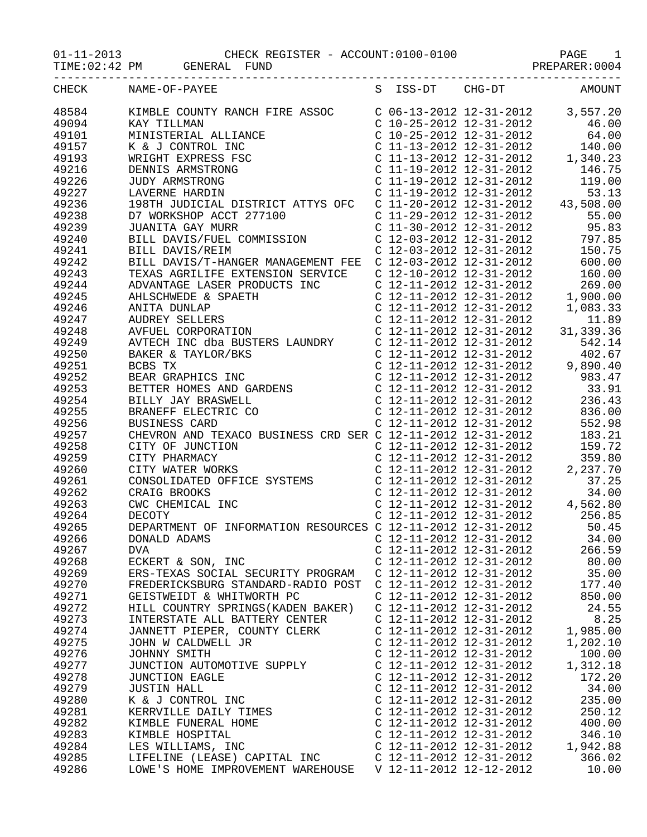01-11-2013 CHECK REGISTER - ACCOUNT:0100-0100 PAGE 1

TIME:02:42 PM GENERAL FUND SERIER REPARER:0004

|       | CHECK NAME-OF-PAYEE                |                           | S ISS-DT CHG-DT AMOUNT |
|-------|------------------------------------|---------------------------|------------------------|
| 48584 |                                    |                           |                        |
| 49094 |                                    |                           |                        |
| 49101 |                                    |                           |                        |
| 49157 |                                    |                           |                        |
| 49193 |                                    |                           |                        |
| 49216 |                                    |                           |                        |
| 49226 |                                    |                           |                        |
| 49227 |                                    |                           |                        |
| 49236 |                                    |                           |                        |
| 49238 |                                    |                           |                        |
| 49239 |                                    |                           |                        |
| 49240 |                                    |                           |                        |
| 49241 |                                    |                           |                        |
| 49242 |                                    |                           |                        |
| 49243 |                                    |                           |                        |
| 49244 |                                    |                           |                        |
| 49245 |                                    |                           |                        |
| 49246 |                                    |                           |                        |
| 49247 |                                    |                           |                        |
| 49248 |                                    |                           |                        |
| 49249 |                                    |                           |                        |
| 49250 |                                    |                           |                        |
| 49251 |                                    |                           |                        |
| 49252 |                                    |                           |                        |
| 49253 |                                    |                           |                        |
| 49254 |                                    |                           |                        |
| 49255 |                                    |                           |                        |
| 49256 |                                    |                           |                        |
| 49257 |                                    |                           |                        |
| 49258 |                                    |                           |                        |
| 49259 |                                    |                           |                        |
| 49260 |                                    |                           |                        |
| 49261 |                                    |                           |                        |
| 49262 |                                    |                           |                        |
| 49263 |                                    |                           |                        |
| 49264 |                                    |                           |                        |
| 49265 |                                    |                           |                        |
| 49266 |                                    |                           |                        |
| 49267 | DVA                                | C 12-11-2012 12-31-2012   | 266.59                 |
| 49268 | ECKERT & SON, INC                  | C 12-11-2012 12-31-2012   | 80.00                  |
| 49269 | ERS-TEXAS SOCIAL SECURITY PROGRAM  | C 12-11-2012 12-31-2012   | 35.00                  |
| 49270 | FREDERICKSBURG STANDARD-RADIO POST | C 12-11-2012 12-31-2012   | 177.40                 |
| 49271 | GEISTWEIDT & WHITWORTH PC          | C 12-11-2012 12-31-2012   | 850.00                 |
| 49272 | HILL COUNTRY SPRINGS (KADEN BAKER) | $C$ 12-11-2012 12-31-2012 | 24.55                  |
| 49273 | INTERSTATE ALL BATTERY CENTER      | C 12-11-2012 12-31-2012   | 8.25                   |
| 49274 | JANNETT PIEPER, COUNTY CLERK       | C 12-11-2012 12-31-2012   | 1,985.00               |
| 49275 | JOHN W CALDWELL JR                 | C 12-11-2012 12-31-2012   | 1,202.10               |
| 49276 | JOHNNY SMITH                       | C 12-11-2012 12-31-2012   | 100.00                 |
| 49277 | JUNCTION AUTOMOTIVE SUPPLY         | C 12-11-2012 12-31-2012   | 1,312.18               |
| 49278 | <b>JUNCTION EAGLE</b>              | $C$ 12-11-2012 12-31-2012 | 172.20                 |
| 49279 | JUSTIN HALL                        | C 12-11-2012 12-31-2012   | 34.00                  |
| 49280 | K & J CONTROL INC                  | C 12-11-2012 12-31-2012   | 235.00                 |
| 49281 | KERRVILLE DAILY TIMES              | C 12-11-2012 12-31-2012   | 250.12                 |
| 49282 | KIMBLE FUNERAL HOME                | $C$ 12-11-2012 12-31-2012 | 400.00                 |
| 49283 | KIMBLE HOSPITAL                    | $C$ 12-11-2012 12-31-2012 | 346.10                 |
| 49284 | LES WILLIAMS, INC                  | $C$ 12-11-2012 12-31-2012 | 1,942.88               |
| 49285 | LIFELINE (LEASE) CAPITAL INC       | C 12-11-2012 12-31-2012   | 366.02                 |
| 49286 | LOWE'S HOME IMPROVEMENT WAREHOUSE  | V 12-11-2012 12-12-2012   | 10.00                  |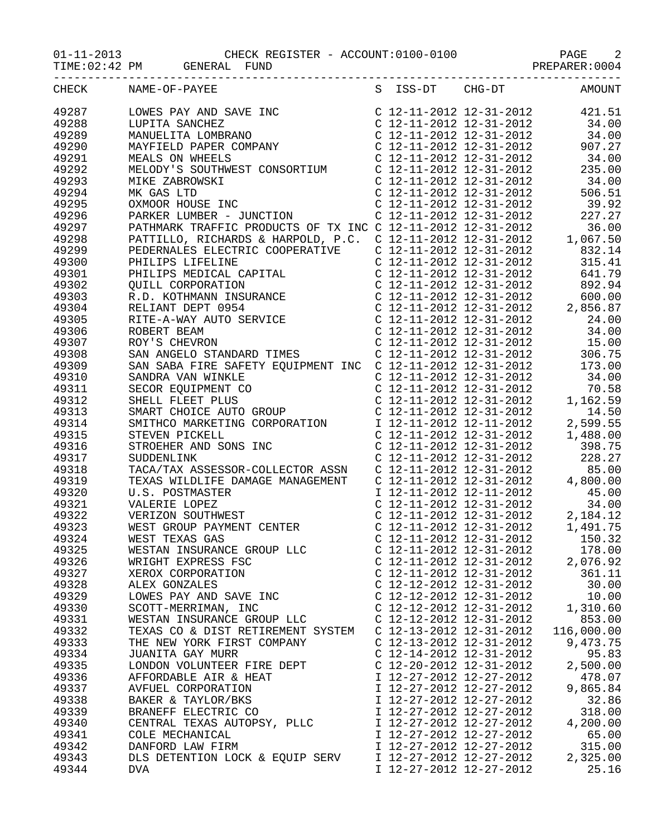TIME:02:42 PM GENERAL FUND SERIER REPARER:0004

| CHECK | NAME-OF-PAYEE                                                                                        |                         |                           | S ISS-DT CHG-DT AMOUNT         |
|-------|------------------------------------------------------------------------------------------------------|-------------------------|---------------------------|--------------------------------|
| 49287 |                                                                                                      |                         |                           |                                |
| 49288 |                                                                                                      |                         |                           |                                |
| 49289 |                                                                                                      |                         |                           |                                |
| 49290 |                                                                                                      |                         |                           |                                |
| 49291 |                                                                                                      |                         |                           |                                |
| 49292 |                                                                                                      |                         |                           |                                |
| 49293 |                                                                                                      |                         |                           |                                |
| 49294 |                                                                                                      |                         |                           |                                |
| 49295 |                                                                                                      |                         |                           |                                |
| 49296 |                                                                                                      |                         |                           |                                |
| 49297 |                                                                                                      |                         |                           |                                |
| 49298 |                                                                                                      |                         |                           |                                |
|       |                                                                                                      |                         |                           |                                |
| 49299 |                                                                                                      |                         |                           |                                |
| 49300 |                                                                                                      |                         |                           |                                |
| 49301 |                                                                                                      |                         |                           |                                |
| 49302 |                                                                                                      |                         |                           |                                |
| 49303 |                                                                                                      |                         |                           |                                |
| 49304 |                                                                                                      |                         |                           |                                |
| 49305 |                                                                                                      |                         |                           |                                |
| 49306 |                                                                                                      |                         |                           |                                |
| 49307 |                                                                                                      |                         |                           |                                |
| 49308 |                                                                                                      |                         |                           |                                |
| 49309 |                                                                                                      |                         |                           |                                |
| 49310 |                                                                                                      |                         |                           |                                |
| 49311 |                                                                                                      |                         |                           |                                |
| 49312 |                                                                                                      |                         |                           |                                |
| 49313 |                                                                                                      |                         |                           |                                |
| 49314 |                                                                                                      |                         |                           |                                |
| 49315 |                                                                                                      |                         |                           |                                |
| 49316 |                                                                                                      |                         |                           |                                |
| 49317 |                                                                                                      |                         |                           |                                |
| 49318 |                                                                                                      |                         |                           |                                |
| 49319 |                                                                                                      |                         |                           |                                |
|       |                                                                                                      |                         |                           |                                |
| 49320 |                                                                                                      |                         |                           |                                |
| 49321 | U.S. POSTMASTER<br>VALERIE LOPEZ<br>VERIZON SOUTHWEST<br>WEST GROUP PAYMENT CENTER<br>WEST TEXAS CAS |                         |                           |                                |
| 49322 |                                                                                                      |                         |                           |                                |
| 49323 |                                                                                                      |                         |                           |                                |
| 49324 | WEST TEXAS GAS                                                                                       |                         |                           | C 12-11-2012 12-31-2012 150.32 |
| 49325 | WESTAN INSURANCE GROUP LLC                                                                           |                         | $C$ 12-11-2012 12-31-2012 | 178.00                         |
| 49326 | WRIGHT EXPRESS FSC                                                                                   | C 12-11-2012 12-31-2012 |                           | 2,076.92                       |
| 49327 | XEROX CORPORATION                                                                                    | C 12-11-2012 12-31-2012 |                           | 361.11                         |
| 49328 | ALEX GONZALES                                                                                        | C 12-12-2012 12-31-2012 |                           | 30.00                          |
| 49329 | LOWES PAY AND SAVE INC                                                                               | C 12-12-2012 12-31-2012 |                           | 10.00                          |
| 49330 | SCOTT-MERRIMAN, INC                                                                                  | C 12-12-2012 12-31-2012 |                           | 1,310.60                       |
| 49331 | WESTAN INSURANCE GROUP LLC                                                                           | C 12-12-2012 12-31-2012 |                           | 853.00                         |
| 49332 | TEXAS CO & DIST RETIREMENT SYSTEM                                                                    | C 12-13-2012 12-31-2012 |                           | 116,000.00                     |
| 49333 | THE NEW YORK FIRST COMPANY                                                                           | C 12-13-2012 12-31-2012 |                           | 9,473.75                       |
| 49334 | JUANITA GAY MURR                                                                                     | C 12-14-2012 12-31-2012 |                           | 95.83                          |
| 49335 | LONDON VOLUNTEER FIRE DEPT                                                                           | C 12-20-2012 12-31-2012 |                           | 2,500.00                       |
| 49336 | AFFORDABLE AIR & HEAT                                                                                | I 12-27-2012 12-27-2012 |                           | 478.07                         |
| 49337 | AVFUEL CORPORATION                                                                                   | I 12-27-2012 12-27-2012 |                           | 9,865.84                       |
| 49338 | BAKER & TAYLOR/BKS                                                                                   | I 12-27-2012 12-27-2012 |                           | 32.86                          |
| 49339 | BRANEFF ELECTRIC CO                                                                                  | I 12-27-2012 12-27-2012 |                           | 318.00                         |
|       | CENTRAL TEXAS AUTOPSY, PLLC                                                                          |                         |                           |                                |
| 49340 |                                                                                                      | I 12-27-2012 12-27-2012 |                           | 4,200.00                       |
| 49341 | COLE MECHANICAL                                                                                      | I 12-27-2012 12-27-2012 |                           | 65.00                          |
| 49342 | DANFORD LAW FIRM                                                                                     | I 12-27-2012 12-27-2012 |                           | 315.00                         |
| 49343 | DLS DETENTION LOCK & EQUIP SERV                                                                      | I 12-27-2012 12-27-2012 |                           | 2,325.00                       |
| 49344 | <b>DVA</b>                                                                                           | I 12-27-2012 12-27-2012 |                           | 25.16                          |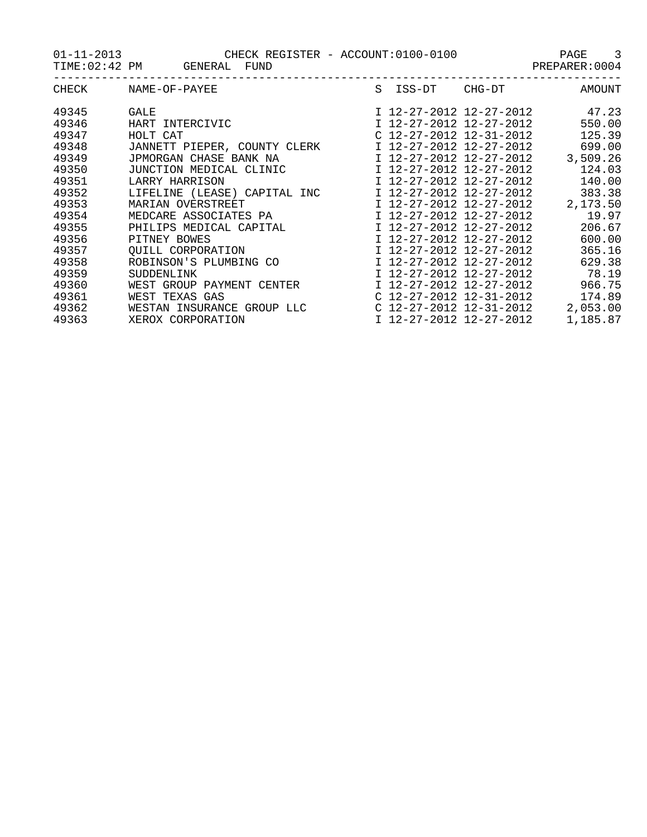01-11-2013 CHECK REGISTER - ACCOUNT:0100-0100 PAGE 3

TIME:02:42 PM GENERAL FUND SERIER REPARER:0004

| CHECK | NAME-OF-PAYEE                | S | ISS-DT                  | CHG-DT                    | AMOUNT   |
|-------|------------------------------|---|-------------------------|---------------------------|----------|
| 49345 | GALE                         |   |                         | I 12-27-2012 12-27-2012   | 47.23    |
| 49346 | HART INTERCIVIC              |   |                         | I 12-27-2012 12-27-2012   | 550.00   |
| 49347 | HOLT CAT                     |   |                         | $C$ 12-27-2012 12-31-2012 | 125.39   |
| 49348 | JANNETT PIEPER, COUNTY CLERK |   |                         | I 12-27-2012 12-27-2012   | 699.00   |
| 49349 | JPMORGAN CHASE BANK NA       |   |                         | I 12-27-2012 12-27-2012   | 3,509.26 |
| 49350 | JUNCTION MEDICAL CLINIC      |   | I 12-27-2012 12-27-2012 |                           | 124.03   |
| 49351 | LARRY HARRISON               |   |                         | I 12-27-2012 12-27-2012   | 140.00   |
| 49352 | LIFELINE (LEASE) CAPITAL INC |   |                         | I 12-27-2012 12-27-2012   | 383.38   |
| 49353 | MARIAN OVERSTREET            |   |                         | I 12-27-2012 12-27-2012   | 2,173.50 |
| 49354 | MEDCARE ASSOCIATES PA        |   |                         | I 12-27-2012 12-27-2012   | 19.97    |
| 49355 | PHILIPS MEDICAL CAPITAL      |   |                         | I 12-27-2012 12-27-2012   | 206.67   |
| 49356 | PITNEY BOWES                 |   | I 12-27-2012 12-27-2012 |                           | 600.00   |
| 49357 | OUILL CORPORATION            |   | I 12-27-2012 12-27-2012 |                           | 365.16   |
| 49358 | ROBINSON'S PLUMBING CO       |   | I 12-27-2012 12-27-2012 |                           | 629.38   |
| 49359 | SUDDENLINK                   |   |                         | I 12-27-2012 12-27-2012   | 78.19    |
| 49360 | WEST GROUP PAYMENT CENTER    |   |                         | I 12-27-2012 12-27-2012   | 966.75   |
| 49361 | WEST TEXAS GAS               |   |                         | $C$ 12-27-2012 12-31-2012 | 174.89   |
| 49362 | WESTAN INSURANCE GROUP LLC   |   |                         | C 12-27-2012 12-31-2012   | 2,053.00 |
| 49363 | XEROX CORPORATION            |   | I 12-27-2012 12-27-2012 |                           | 1,185.87 |
|       |                              |   |                         |                           |          |